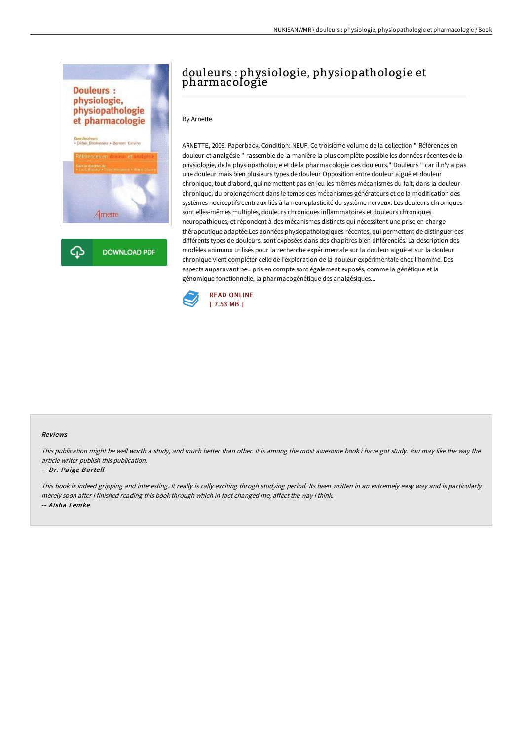



## douleurs : physiologie, physiopathologie et pharmacologie

By Arnette

ARNETTE, 2009. Paperback. Condition: NEUF. Ce troisième volume de la collection " Références en douleur et analgésie " rassemble de la manière la plus complète possible les données récentes de la physiologie, de la physiopathologie et de la pharmacologie des douleurs." Douleurs " car il n'y a pas une douleur mais bien plusieurs types de douleur Opposition entre douleur aiguë et douleur chronique, tout d'abord, qui ne mettent pas en jeu les mêmes mécanismes du fait, dans la douleur chronique, du prolongement dans le temps des mécanismes générateurs et de la modification des systèmes nociceptifs centraux liés à la neuroplasticité du système nerveux. Les douleurs chroniques sont elles-mêmes multiples, douleurs chroniques inflammatoires et douleurs chroniques neuropathiques, et répondent à des mécanismes distincts qui nécessitent une prise en charge thérapeutique adaptée.Les données physiopathologiques récentes, qui permettent de distinguer ces différents types de douleurs, sont exposées dans des chapitres bien différenciés. La description des modèles animaux utilisés pour la recherche expérimentale sur la douleur aiguë et sur la douleur chronique vient compléter celle de l'exploration de la douleur expérimentale chez l'homme. Des aspects auparavant peu pris en compte sont également exposés, comme la génétique et la génomique fonctionnelle, la pharmacogénétique des analgésiques...



### Reviews

This publication might be well worth <sup>a</sup> study, and much better than other. It is among the most awesome book i have got study. You may like the way the article writer publish this publication.

### -- Dr. Paige Bartell

This book is indeed gripping and interesting. It really is rally exciting throgh studying period. Its been written in an extremely easy way and is particularly merely soon after i finished reading this book through which in fact changed me, affect the way i think. -- Aisha Lemke